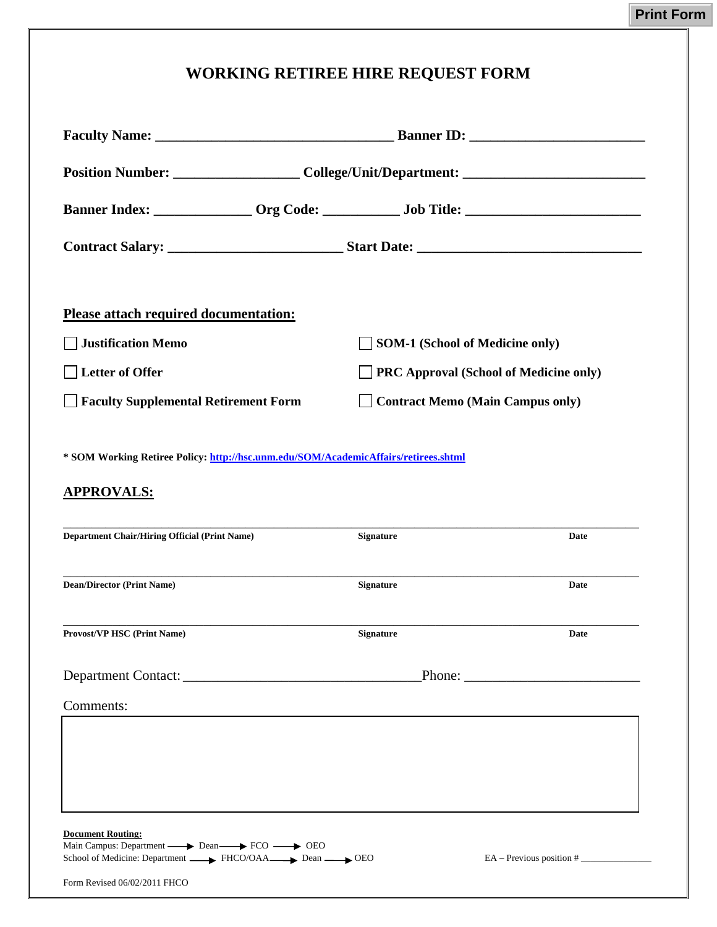## **WORKING RETIREE HIRE REQUEST FORM**

| Position Number: _______________________College/Unit/Department: ___________________________________                                                                                                                                                                                                                |                                         |                            |
|---------------------------------------------------------------------------------------------------------------------------------------------------------------------------------------------------------------------------------------------------------------------------------------------------------------------|-----------------------------------------|----------------------------|
| Banner Index: _______________ Org Code: ______________ Job Title: __________________________________                                                                                                                                                                                                                |                                         |                            |
|                                                                                                                                                                                                                                                                                                                     |                                         |                            |
| <b>Please attach required documentation:</b>                                                                                                                                                                                                                                                                        |                                         |                            |
| <b>Justification Memo</b>                                                                                                                                                                                                                                                                                           | <b>SOM-1 (School of Medicine only)</b>  |                            |
| Letter of Offer                                                                                                                                                                                                                                                                                                     | PRC Approval (School of Medicine only)  |                            |
| Faculty Supplemental Retirement Form                                                                                                                                                                                                                                                                                | <b>Contract Memo (Main Campus only)</b> |                            |
| <b>Department Chair/Hiring Official (Print Name)</b>                                                                                                                                                                                                                                                                | <b>Signature</b>                        | Date                       |
| <b>Dean/Director (Print Name)</b>                                                                                                                                                                                                                                                                                   | <b>Signature</b>                        | Date                       |
| <b>Provost/VP HSC (Print Name)</b>                                                                                                                                                                                                                                                                                  | <b>Signature</b>                        | Date                       |
|                                                                                                                                                                                                                                                                                                                     |                                         |                            |
| Comments:                                                                                                                                                                                                                                                                                                           |                                         |                            |
|                                                                                                                                                                                                                                                                                                                     |                                         |                            |
| <b>Document Routing:</b><br>Main Campus: Department  ightarrow Dean  Bean  Bean  Bean  Bean  Bean  Bean  Bean  Bean  Bean  Bean  Bean  Bean  Bean  Bean  Bean  Bean  Bean  Bean  Bean  Bean  Bean  Bean  Bean  Bean  Bean  Bean  Bean  Bean  Bean  Bean  B<br>School of Medicine: Department FHCO/OAA Dean Dean DEO |                                         | $EA - Previous position #$ |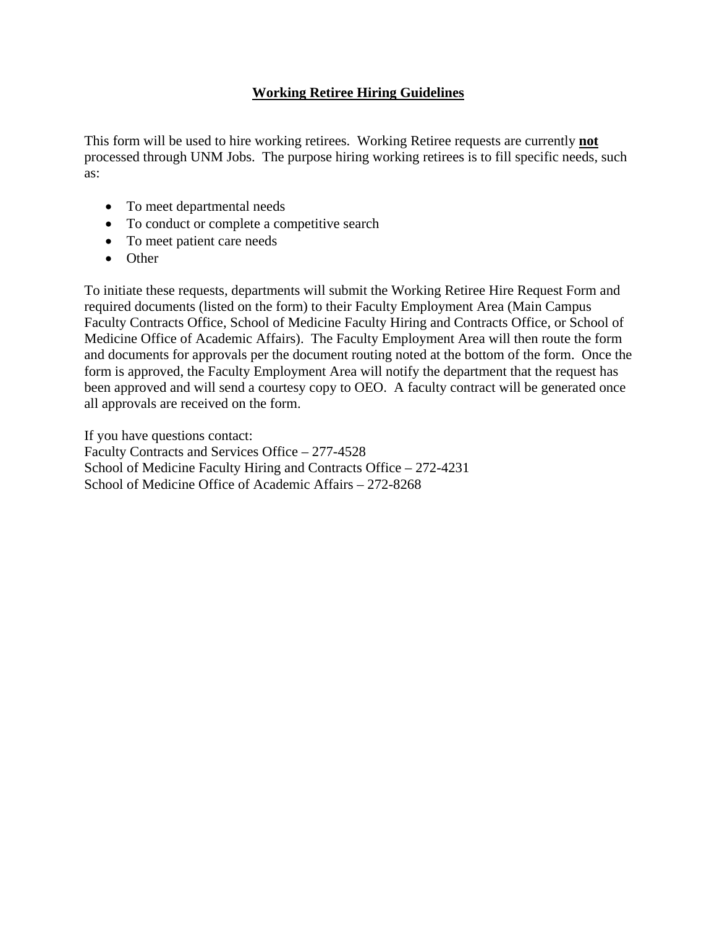## **Working Retiree Hiring Guidelines**

This form will be used to hire working retirees. Working Retiree requests are currently **not** processed through UNM Jobs. The purpose hiring working retirees is to fill specific needs, such as:

- To meet departmental needs
- To conduct or complete a competitive search
- To meet patient care needs
- Other

To initiate these requests, departments will submit the Working Retiree Hire Request Form and required documents (listed on the form) to their Faculty Employment Area (Main Campus Faculty Contracts Office, School of Medicine Faculty Hiring and Contracts Office, or School of Medicine Office of Academic Affairs). The Faculty Employment Area will then route the form and documents for approvals per the document routing noted at the bottom of the form. Once the form is approved, the Faculty Employment Area will notify the department that the request has been approved and will send a courtesy copy to OEO. A faculty contract will be generated once all approvals are received on the form.

If you have questions contact:

Faculty Contracts and Services Office – 277-4528 School of Medicine Faculty Hiring and Contracts Office – 272-4231 School of Medicine Office of Academic Affairs – 272-8268